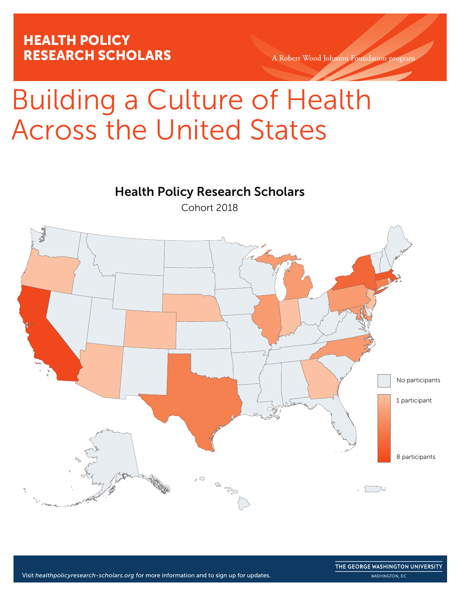A Robert Wood Johnson Foundation program

# Building a Culture of Health Across the United States